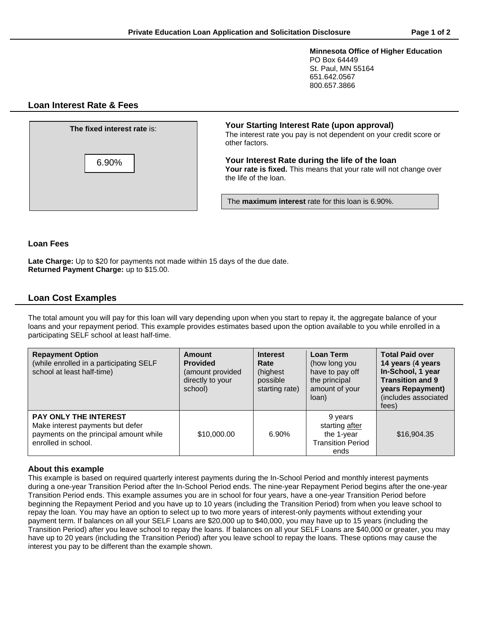**Minnesota Office of Higher Education** PO Box 64449 St. Paul, MN 55164 651.642.0567 800.657.3866

# **Loan Interest Rate & Fees**

| <b>The fixed interest rate is:</b> | Your Starting Interest Rate (upon approval)<br>The interest rate you pay is not dependent on your credit score or<br>other factors.           |  |
|------------------------------------|-----------------------------------------------------------------------------------------------------------------------------------------------|--|
| 6.90%                              | Your Interest Rate during the life of the loan<br>Your rate is fixed. This means that your rate will not change over<br>the life of the loan. |  |
|                                    | The <b>maximum interest</b> rate for this loan is 6.90%.                                                                                      |  |

**Loan Fees**

**Late Charge:** Up to \$20 for payments not made within 15 days of the due date. **Returned Payment Charge:** up to \$15.00.

# **Loan Cost Examples**

The total amount you will pay for this loan will vary depending upon when you start to repay it, the aggregate balance of your loans and your repayment period. This example provides estimates based upon the option available to you while enrolled in a participating SELF school at least half-time.

| <b>Repayment Option</b><br>(while enrolled in a participating SELF<br>school at least half-time)                                  | Amount<br><b>Provided</b><br>(amount provided<br>directly to your<br>school) | <b>Interest</b><br>Rate<br>(highest<br>possible<br>starting rate) | Loan Term<br>(how long you<br>have to pay off<br>the principal<br>amount of your<br>loan) | <b>Total Paid over</b><br>14 years (4 years<br>In-School, 1 year<br><b>Transition and 9</b><br>years Repayment)<br>(includes associated<br>fees) |
|-----------------------------------------------------------------------------------------------------------------------------------|------------------------------------------------------------------------------|-------------------------------------------------------------------|-------------------------------------------------------------------------------------------|--------------------------------------------------------------------------------------------------------------------------------------------------|
| <b>PAY ONLY THE INTEREST</b><br>Make interest payments but defer<br>payments on the principal amount while<br>enrolled in school. | \$10,000.00                                                                  | 6.90%                                                             | 9 years<br>starting after<br>the 1-year<br><b>Transition Period</b><br>ends               | \$16,904.35                                                                                                                                      |

## **About this example**

This example is based on required quarterly interest payments during the In-School Period and monthly interest payments during a one-year Transition Period after the In-School Period ends. The nine-year Repayment Period begins after the one-year Transition Period ends. This example assumes you are in school for four years, have a one-year Transition Period before beginning the Repayment Period and you have up to 10 years (including the Transition Period) from when you leave school to repay the loan. You may have an option to select up to two more years of interest-only payments without extending your payment term. If balances on all your SELF Loans are \$20,000 up to \$40,000, you may have up to 15 years (including the Transition Period) after you leave school to repay the loans. If balances on all your SELF Loans are \$40,000 or greater, you may have up to 20 years (including the Transition Period) after you leave school to repay the loans. These options may cause the interest you pay to be different than the example shown.